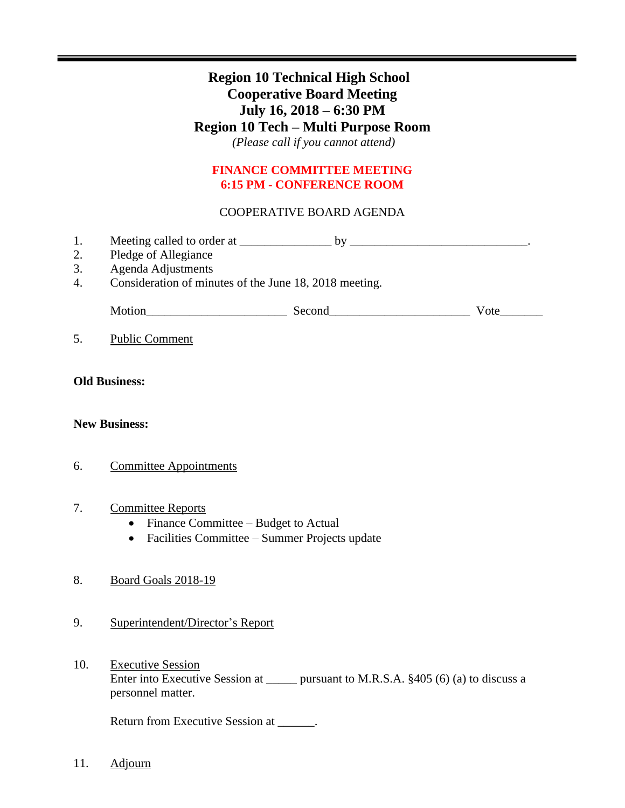# **Region 10 Technical High School Cooperative Board Meeting July 16, 2018 – 6:30 PM Region 10 Tech – Multi Purpose Room** *(Please call if you cannot attend)*

## **FINANCE COMMITTEE MEETING 6:15 PM - CONFERENCE ROOM**

## COOPERATIVE BOARD AGENDA

- 1. Meeting called to order at \_\_\_\_\_\_\_\_\_\_\_\_\_\_\_ by \_\_\_\_\_\_\_\_\_\_\_\_\_\_\_\_\_\_\_\_\_\_\_\_\_\_\_\_\_.
- 2. Pledge of Allegiance
- 3. Agenda Adjustments
- 4. Consideration of minutes of the June 18, 2018 meeting.

| M<br>วt1On<br>- - - | $\sim$ $\sim$ |  |
|---------------------|---------------|--|
|---------------------|---------------|--|

5. Public Comment

## **Old Business:**

### **New Business:**

6. Committee Appointments

### 7. Committee Reports

- Finance Committee Budget to Actual
- Facilities Committee Summer Projects update

## 8. Board Goals 2018-19

- 9. Superintendent/Director's Report
- 10. Executive Session Enter into Executive Session at \_\_\_\_\_\_ pursuant to M.R.S.A. §405 (6) (a) to discuss a personnel matter.

Return from Executive Session at \_\_\_\_\_\_.

11. Adjourn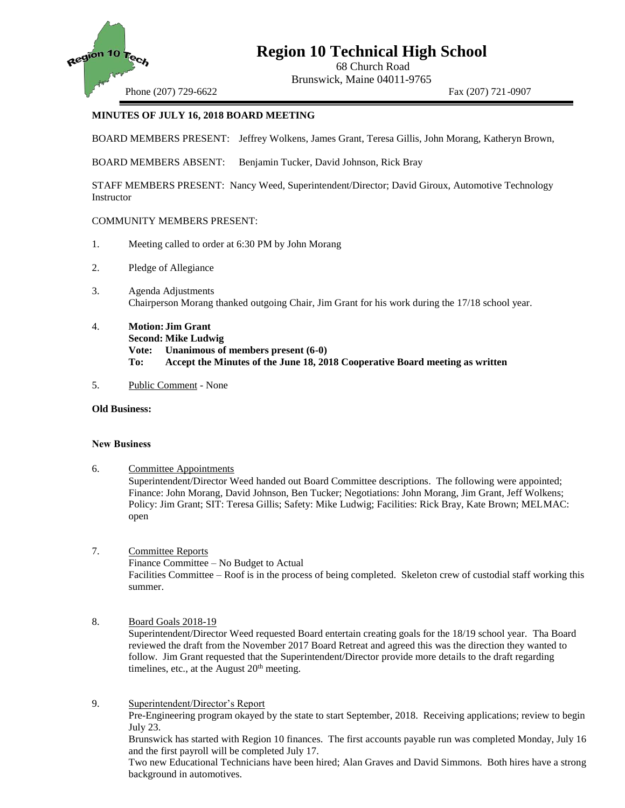

# **Region 10 Technical High School**

68 Church Road Brunswick, Maine 04011-9765

Phone (207) 729-6622 Fax (207) 721-0907

#### **MINUTES OF JULY 16, 2018 BOARD MEETING**

BOARD MEMBERS PRESENT: Jeffrey Wolkens, James Grant, Teresa Gillis, John Morang, Katheryn Brown,

BOARD MEMBERS ABSENT: Benjamin Tucker, David Johnson, Rick Bray

STAFF MEMBERS PRESENT: Nancy Weed, Superintendent/Director; David Giroux, Automotive Technology **Instructor** 

#### COMMUNITY MEMBERS PRESENT:

- 1. Meeting called to order at 6:30 PM by John Morang
- 2. Pledge of Allegiance
- 3. Agenda Adjustments Chairperson Morang thanked outgoing Chair, Jim Grant for his work during the 17/18 school year.
- 4. **Motion: Jim Grant Second: Mike Ludwig Vote: Unanimous of members present (6-0) To: Accept the Minutes of the June 18, 2018 Cooperative Board meeting as written**
- 5. Public Comment None

#### **Old Business:**

#### **New Business**

- 6. Committee Appointments Superintendent/Director Weed handed out Board Committee descriptions. The following were appointed; Finance: John Morang, David Johnson, Ben Tucker; Negotiations: John Morang, Jim Grant, Jeff Wolkens; Policy: Jim Grant; SIT: Teresa Gillis; Safety: Mike Ludwig; Facilities: Rick Bray, Kate Brown; MELMAC: open
- 7. Committee Reports Finance Committee – No Budget to Actual Facilities Committee – Roof is in the process of being completed. Skeleton crew of custodial staff working this summer.
- 8. Board Goals 2018-19 Superintendent/Director Weed requested Board entertain creating goals for the 18/19 school year. Tha Board reviewed the draft from the November 2017 Board Retreat and agreed this was the direction they wanted to follow. Jim Grant requested that the Superintendent/Director provide more details to the draft regarding timelines, etc., at the August  $20<sup>th</sup>$  meeting.
- 9. Superintendent/Director's Report Pre-Engineering program okayed by the state to start September, 2018. Receiving applications; review to begin July 23.

Brunswick has started with Region 10 finances. The first accounts payable run was completed Monday, July 16 and the first payroll will be completed July 17.

Two new Educational Technicians have been hired; Alan Graves and David Simmons. Both hires have a strong background in automotives.